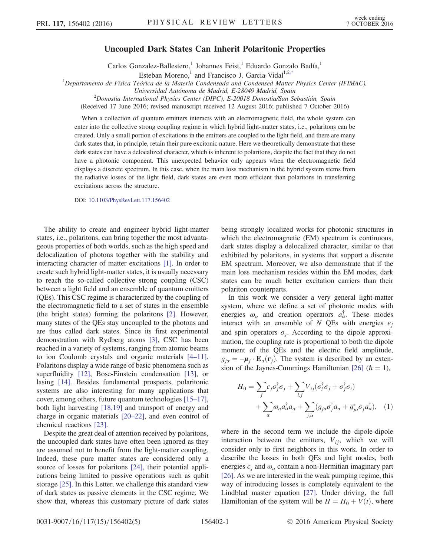## Uncoupled Dark States Can Inherit Polaritonic Properties

Carlos Gonzalez-Ballestero,<sup>1</sup> Johannes Feist,<sup>1</sup> Eduardo Gonzalo Badía,<sup>1</sup>

Esteban Moreno,<sup>1</sup> and Francisco J. Garcia-Vidal<sup>1,[2,\\*](#page-4-0)</sup>

<span id="page-0-1"></span><sup>1</sup>Departamento de Física Teórica de la Materia Condensada and Condensed Matter Physics Center (IFIMAC).

Universidad Autónoma de Madrid, E-28049 Madrid, Spain

2 Donostia International Physics Center (DIPC), E-20018 Donostia/San Sebastián, Spain

(Received 17 June 2016; revised manuscript received 12 August 2016; published 7 October 2016)

When a collection of quantum emitters interacts with an electromagnetic field, the whole system can enter into the collective strong coupling regime in which hybrid light-matter states, i.e., polaritons can be created. Only a small portion of excitations in the emitters are coupled to the light field, and there are many dark states that, in principle, retain their pure excitonic nature. Here we theoretically demonstrate that these dark states can have a delocalized character, which is inherent to polaritons, despite the fact that they do not have a photonic component. This unexpected behavior only appears when the electromagnetic field displays a discrete spectrum. In this case, when the main loss mechanism in the hybrid system stems from the radiative losses of the light field, dark states are even more efficient than polaritons in transferring excitations across the structure.

DOI: [10.1103/PhysRevLett.117.156402](http://dx.doi.org/10.1103/PhysRevLett.117.156402)

The ability to create and engineer hybrid light-matter states, i.e., polaritons, can bring together the most advantageous properties of both worlds, such as the high speed and delocalization of photons together with the stability and interacting character of matter excitations [\[1\].](#page-4-1) In order to create such hybrid light-matter states, it is usually necessary to reach the so-called collective strong coupling (CSC) between a light field and an ensemble of quantum emitters (QEs). This CSC regime is characterized by the coupling of the electromagnetic field to a set of states in the ensemble (the bright states) forming the polaritons [\[2\]](#page-4-2). However, many states of the QEs stay uncoupled to the photons and are thus called dark states. Since its first experimental demonstration with Rydberg atoms [\[3\],](#page-4-3) CSC has been reached in a variety of systems, ranging from atomic beams to ion Coulomb crystals and organic materials [4–[11\]](#page-4-4). Polaritons display a wide range of basic phenomena such as superfluidity [\[12\]](#page-4-5), Bose-Einstein condensation [\[13\],](#page-4-6) or lasing [\[14\].](#page-4-7) Besides fundamental prospects, polaritonic systems are also interesting for many applications that cover, among others, future quantum technologies [\[15](#page-4-8)–17], both light harvesting [\[18,19\]](#page-4-9) and transport of energy and charge in organic materials [20–[22\],](#page-4-10) and even control of chemical reactions [\[23\]](#page-4-11).

Despite the great deal of attention received by polaritons, the uncoupled dark states have often been ignored as they are assumed not to benefit from the light-matter coupling. Indeed, these pure matter states are considered only a source of losses for polaritons [\[24\]](#page-4-12), their potential applications being limited to passive operations such as qubit storage [\[25\].](#page-4-13) In this Letter, we challenge this standard view of dark states as passive elements in the CSC regime. We show that, whereas this customary picture of dark states being strongly localized works for photonic structures in which the electromagnetic (EM) spectrum is continuous, dark states display a delocalized character, similar to that exhibited by polaritons, in systems that support a discrete EM spectrum. Moreover, we also demonstrate that if the main loss mechanism resides within the EM modes, dark states can be much better excitation carriers than their polariton counterparts.

In this work we consider a very general light-matter system, where we define a set of photonic modes with energies  $\omega_{\alpha}$  and creation operators  $a_{\alpha}^{\dagger}$ . These modes interact with an ensemble of N QEs with energies  $\epsilon_i$ and spin operators  $\sigma_i$ . According to the dipole approximation, the coupling rate is proportional to both the dipole moment of the QEs and the electric field amplitude,  $g_{i\alpha} = -\mu_i \cdot \mathbf{E}_{\alpha}(\mathbf{r}_i)$ . The system is described by an exten-sion of the Jaynes-Cummings Hamiltonian [\[26\]](#page-4-14) ( $\hbar = 1$ ),

<span id="page-0-0"></span>
$$
H_0 = \sum_j \epsilon_j \sigma_j^{\dagger} \sigma_j + \sum_{i,j} V_{ij} (\sigma_i^{\dagger} \sigma_j + \sigma_j^{\dagger} \sigma_i)
$$
  
+ 
$$
\sum_{\alpha} \omega_{\alpha} a_{\alpha}^{\dagger} a_{\alpha} + \sum_{j,\alpha} (g_{j\alpha} \sigma_j^{\dagger} a_{\alpha} + g_{j\alpha}^* \sigma_j a_{\alpha}^{\dagger}), \quad (1)
$$

where in the second term we include the dipole-dipole interaction between the emitters,  $V_{ij}$ , which we will consider only to first neighbors in this work. In order to describe the losses in both QEs and light modes, both energies  $\epsilon_i$  and  $\omega_\alpha$  contain a non-Hermitian imaginary part [\[26\]](#page-4-14). As we are interested in the weak pumping regime, this way of introducing losses is completely equivalent to the Lindblad master equation [\[27\].](#page-4-15) Under driving, the full Hamiltonian of the system will be  $H = H_0 + V(t)$ , where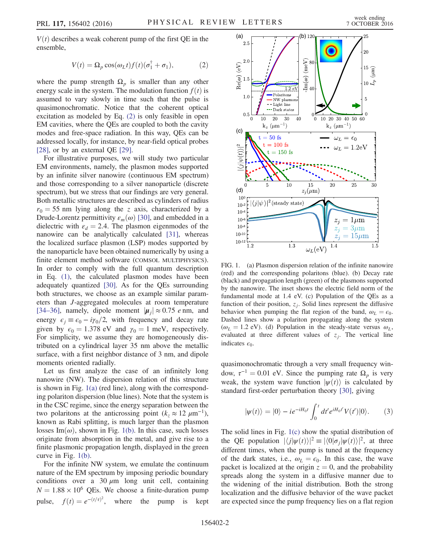<span id="page-1-0"></span> $V(t)$  describes a weak coherent pump of the first QE in the ensemble,

$$
V(t) = \Omega_p \cos(\omega_L t) f(t) (\sigma_1^{\dagger} + \sigma_1), \tag{2}
$$

where the pump strength  $\Omega_p$  is smaller than any other energy scale in the system. The modulation function  $f(t)$  is assumed to vary slowly in time such that the pulse is quasimonochromatic. Notice that the coherent optical excitation as modeled by Eq. [\(2\)](#page-1-0) is only feasible in open EM cavities, where the QEs are coupled to both the cavity modes and free-space radiation. In this way, QEs can be addressed locally, for instance, by near-field optical probes [\[28\]](#page-4-16), or by an external QE [\[29\]](#page-4-17).

For illustrative purposes, we will study two particular EM environments, namely, the plasmon modes supported by an infinite silver nanowire (continuous EM spectrum) and those corresponding to a silver nanoparticle (discrete spectrum), but we stress that our findings are very general. Both metallic structures are described as cylinders of radius  $r_0 = 55$  nm lying along the z axis, characterized by a Drude-Lorentz permittivity  $\varepsilon_m(\omega)$  [\[30\]](#page-4-18), and embedded in a dielectric with  $\varepsilon_d = 2.4$ . The plasmon eigenmodes of the nanowire can be analytically calculated [\[31\]](#page-4-19), whereas the localized surface plasmon (LSP) modes supported by the nanoparticle have been obtained numerically by using a finite element method software (COMSOL MULTIPHYSICS). In order to comply with the full quantum description in Eq. [\(1\)](#page-0-0), the calculated plasmon modes have been adequately quantized [\[30\].](#page-4-18) As for the QEs surrounding both structures, we choose as an example similar parameters than J-aggregated molecules at room temperature [\[34](#page-4-20)–36], namely, dipole moment  $|\mu_i| \approx 0.75$  e nm, and energy  $\epsilon_j \equiv \epsilon_0 - i\gamma_0/2$ , with frequency and decay rate given by  $\epsilon_0 = 1.378 \text{ eV}$  and  $\gamma_0 = 1 \text{ meV}$ , respectively. For simplicity, we assume they are homogeneously distributed on a cylindrical layer 35 nm above the metallic surface, with a first neighbor distance of 3 nm, and dipole moments oriented radially.

Let us first analyze the case of an infinitely long nanowire (NW). The dispersion relation of this structure is shown in Fig. [1\(a\)](#page-1-1) (red line), along with the corresponding polariton dispersion (blue lines). Note that the system is in the CSC regime, since the energy separation between the two polaritons at the anticrossing point  $(k_z \approx 12 \ \mu m^{-1})$ , known as Rabi splitting, is much larger than the plasmon losses Im $(\omega)$ , shown in Fig. [1\(b\).](#page-1-1) In this case, such losses originate from absorption in the metal, and give rise to a finite plasmonic propagation length, displayed in the green curve in Fig. [1\(b\).](#page-1-1)

For the infinite NW system, we emulate the continuum nature of the EM spectrum by imposing periodic boundary conditions over a 30  $\mu$ m long unit cell, containing  $N = 1.88 \times 10^6$  QEs. We choose a finite-duration pump pulse,  $f(t) = e^{-(t/\tau)^2}$ , where the pump is kept

<span id="page-1-1"></span>

FIG. 1. (a) Plasmon dispersion relation of the infinite nanowire (red) and the corresponding polaritons (blue). (b) Decay rate (black) and propagation length (green) of the plasmons supported by the nanowire. The inset shows the electric field norm of the fundamental mode at 1.4 eV. (c) Population of the QEs as a function of their position,  $z_i$ . Solid lines represent the diffusive behavior when pumping the flat region of the band,  $\omega_L = \epsilon_0$ . Dashed lines show a polariton propagating along the system ( $\omega_L = 1.2$  eV). (d) Population in the steady-state versus  $\omega_L$ , evaluated at three different values of  $z_j$ . The vertical line indicates  $\epsilon_0$ .

<span id="page-1-2"></span>quasimonochromatic through a very small frequency window,  $\tau^{-1} = 0.01$  eV. Since the pumping rate  $\Omega_p$  is very weak, the system wave function  $|\psi(t)\rangle$  is calculated by standard first-order perturbation theory [\[30\],](#page-4-18) giving

$$
|\psi(t)\rangle = |0\rangle - ie^{-iH_0t} \int_0^t dt' e^{iH_0t'} V(t') |0\rangle.
$$
 (3)

The solid lines in Fig. [1\(c\)](#page-1-1) show the spatial distribution of the QE population  $|\langle j|\psi(t)\rangle|^2 \equiv |\langle 0|\sigma_j|\psi(t)\rangle|^2$ , at three different times, when the pump is tuned at the frequency of the dark states, i.e.,  $\omega_L = \epsilon_0$ . In this case, the wave packet is localized at the origin  $z = 0$ , and the probability spreads along the system in a diffusive manner due to the widening of the initial distribution. Both the strong localization and the diffusive behavior of the wave packet are expected since the pump frequency lies on a flat region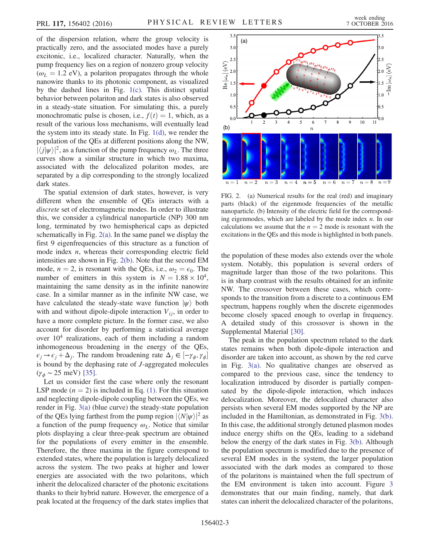of the dispersion relation, where the group velocity is practically zero, and the associated modes have a purely excitonic, i.e., localized character. Naturally, when the pump frequency lies on a region of nonzero group velocity  $(\omega_L = 1.2 \text{ eV})$ , a polariton propagates through the whole nanowire thanks to its photonic component, as visualized by the dashed lines in Fig. [1\(c\).](#page-1-1) This distinct spatial behavior between polariton and dark states is also observed in a steady-state situation. For simulating this, a purely monochromatic pulse is chosen, i.e.,  $f(t) = 1$ , which, as a result of the various loss mechanisms, will eventually lead the system into its steady state. In Fig. [1\(d\)](#page-1-1), we render the population of the QEs at different positions along the NW,  $|\langle j|\psi\rangle|^2$ , as a function of the pump frequency  $\omega_L$ . The three curves show a similar structure in which two maxima, associated with the delocalized polariton modes, are separated by a dip corresponding to the strongly localized dark states.

The spatial extension of dark states, however, is very different when the ensemble of QEs interacts with a discrete set of electromagnetic modes. In order to illustrate this, we consider a cylindrical nanoparticle (NP) 300 nm long, terminated by two hemispherical caps as depicted schematically in Fig. [2\(a\)](#page-2-0). In the same panel we display the first 9 eigenfrequencies of this structure as a function of mode index  $n$ , whereas their corresponding electric field intensities are shown in Fig. [2\(b\)](#page-2-0). Note that the second EM mode,  $n = 2$ , is resonant with the QEs, i.e.,  $\omega_2 = \epsilon_0$ . The number of emitters in this system is  $N = 1.88 \times 10^4$ , maintaining the same density as in the infinite nanowire case. In a similar manner as in the infinite NW case, we have calculated the steady-state wave function  $|\psi\rangle$  both with and without dipole-dipole interaction  $V_{ij}$ , in order to have a more complete picture. In the former case, we also account for disorder by performing a statistical average over  $10<sup>4</sup>$  realizations, each of them including a random inhomogeneous broadening in the energy of the QEs,  $\epsilon_j \rightarrow \epsilon_j + \Delta_j$ . The random broadening rate  $\Delta_j \in [-\gamma_\phi, \gamma_\phi]$ is bound by the dephasing rate of J-aggregated molecules  $(γ<sub>φ</sub> ~ 25 meV)$  [\[35\]](#page-4-21).

Let us consider first the case where only the resonant LSP mode ( $n = 2$ ) is included in Eq. [\(1\)](#page-0-0). For this situation and neglecting dipole-dipole coupling between the QEs, we render in Fig. [3\(a\)](#page-3-0) (blue curve) the steady-state population of the QEs lying farthest from the pump region  $|\langle N|\psi\rangle|^2$  as a function of the pump frequency  $\omega_L$ . Notice that similar plots displaying a clear three-peak spectrum are obtained for the populations of every emitter in the ensemble. Therefore, the three maxima in the figure correspond to extended states, where the population is largely delocalized across the system. The two peaks at higher and lower energies are associated with the two polaritons, which inherit the delocalized character of the photonic excitations thanks to their hybrid nature. However, the emergence of a peak located at the frequency of the dark states implies that

<span id="page-2-0"></span>

FIG. 2. (a) Numerical results for the real (red) and imaginary parts (black) of the eigenmode frequencies of the metallic nanoparticle. (b) Intensity of the electric field for the corresponding eigenmodes, which are labeled by the mode index  $n$ . In our calculations we assume that the  $n = 2$  mode is resonant with the excitations in the QEs and this mode is highlighted in both panels.

the population of these modes also extends over the whole system. Notably, this population is several orders of magnitude larger than those of the two polaritons. This is in sharp contrast with the results obtained for an infinite NW. The crossover between these cases, which corresponds to the transition from a discrete to a continuous EM spectrum, happens roughly when the discrete eigenmodes become closely spaced enough to overlap in frequency. A detailed study of this crossover is shown in the Supplemental Material [\[30\].](#page-4-18)

The peak in the population spectrum related to the dark states remains when both dipole-dipole interaction and disorder are taken into account, as shown by the red curve in Fig. [3\(a\)](#page-3-0). No qualitative changes are observed as compared to the previous case, since the tendency to localization introduced by disorder is partially compensated by the dipole-dipole interaction, which induces delocalization. Moreover, the delocalized character also persists when several EM modes supported by the NP are included in the Hamiltonian, as demonstrated in Fig. [3\(b\)](#page-3-0). In this case, the additional strongly detuned plasmon modes induce energy shifts on the QEs, leading to a sideband below the energy of the dark states in Fig. [3\(b\).](#page-3-0) Although the population spectrum is modified due to the presence of several EM modes in the system, the larger population associated with the dark modes as compared to those of the polaritons is maintained when the full spectrum of the EM environment is taken into account. Figure [3](#page-3-0) demonstrates that our main finding, namely, that dark states can inherit the delocalized character of the polaritons,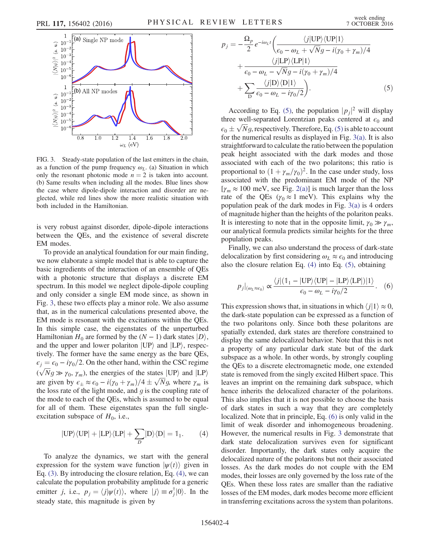<span id="page-3-0"></span>

FIG. 3. Steady-state population of the last emitters in the chain, as a function of the pump frequency  $\omega_L$ . (a) Situation in which only the resonant photonic mode  $n = 2$  is taken into account. (b) Same results when including all the modes. Blue lines show the case where dipole-dipole interaction and disorder are neglected, while red lines show the more realistic situation with both included in the Hamiltonian.

is very robust against disorder, dipole-dipole interactions between the QEs, and the existence of several discrete EM modes.

To provide an analytical foundation for our main finding, we now elaborate a simple model that is able to capture the basic ingredients of the interaction of an ensemble of QEs with a photonic structure that displays a discrete EM spectrum. In this model we neglect dipole-dipole coupling and only consider a single EM mode since, as shown in Fig. [3](#page-3-0), these two effects play a minor role. We also assume that, as in the numerical calculations presented above, the EM mode is resonant with the excitations within the QEs. In this simple case, the eigenstates of the unperturbed Hamiltonian  $H_0$  are formed by the  $(N - 1)$  dark states  $|D\rangle$ , and the upper and lower polariton  $|UP\rangle$  and  $|LP\rangle$ , respectively. The former have the same energy as the bare QEs,  $\epsilon_j = \epsilon_0 - i\gamma_0/2$ . On the other hand, within the CSC regime  $(\sqrt{N}g \gg \gamma_0, \gamma_m)$ , the energies of the states  $|UP\rangle$  and  $|LP\rangle$ are given by  $\epsilon_{\pm} \approx \epsilon_0 - i(\gamma_0 + \gamma_m)/4 \pm \sqrt{N}g$ , where  $\gamma_m$  is the loss rate of the light mode, and  $g$  is the coupling rate of the mode to each of the QEs, which is assumed to be equal for all of them. These eigenstates span the full singleexcitation subspace of  $H_0$ , i.e.,

<span id="page-3-1"></span>
$$
|\text{UP}\rangle\langle\text{UP}| + |\text{LP}\rangle\langle\text{LP}| + \sum_{D} |\text{D}\rangle\langle\text{D}| = \mathbb{1}_1. \tag{4}
$$

<span id="page-3-2"></span>To analyze the dynamics, we start with the general expression for the system wave function  $|\psi(t)\rangle$  given in Eq. [\(3\).](#page-1-2) By introducing the closure relation, Eq. [\(4\)](#page-3-1), we can calculate the population probability amplitude for a generic emitter *j*, i.e.,  $p_j = \langle j | \psi(t) \rangle$ , where  $|j\rangle \equiv \sigma_j^{\dagger} |0\rangle$ . In the steady state, this magnitude is given by

$$
p_{j} = -\frac{\Omega_{p}}{2} e^{-i\omega_{L}t} \left( \frac{\langle j| \text{UP} \rangle \langle \text{UP}| 1 \rangle}{\epsilon_{0} - \omega_{L} + \sqrt{N}g - i(\gamma_{0} + \gamma_{m})/4} + \frac{\langle j| \text{LP} \rangle \langle \text{LP}| 1 \rangle}{\epsilon_{0} - \omega_{L} - \sqrt{N}g - i(\gamma_{0} + \gamma_{m})/4} + \sum_{\text{D}} \frac{\langle j| \text{D} \rangle \langle \text{D}| 1 \rangle}{\epsilon_{0} - \omega_{L} - i\gamma_{0}/2} \right). \tag{5}
$$

According to Eq. [\(5\)](#page-3-2), the population  $|p_j|^2$  will display three well-separated Lorentzian peaks centered at  $\epsilon_0$  and  $\epsilon_0 \pm \sqrt{N}g$ , respectively. Therefore, Eq. [\(5\)](#page-3-2) is able to account for the numerical results as displayed in Fig. [3\(a\)](#page-3-0). It is also straightforward to calculate the ratio between the population peak height associated with the dark modes and those associated with each of the two polaritons; this ratio is proportional to  $(1 + \gamma_m/\gamma_0)^2$ . In the case under study, loss associated with the predominant EM mode of the NP  $[\gamma_m \approx 100 \text{ meV}$ , see Fig. [2\(a\)](#page-2-0)] is much larger than the loss rate of the QEs ( $\gamma_0 \approx 1$  meV). This explains why the population peak of the dark modes in Fig. [3\(a\)](#page-3-0) is 4 orders of magnitude higher than the heights of the polariton peaks. It is interesting to note that in the opposite limit,  $\gamma_0 \gg \gamma_m$ , our analytical formula predicts similar heights for the three population peaks.

<span id="page-3-3"></span>Finally, we can also understand the process of dark-state delocalization by first considering  $\omega_L \approx \epsilon_0$  and introducing also the closure relation Eq. [\(4\)](#page-3-1) into Eq. [\(5\),](#page-3-2) obtaining

$$
p_j|_{(\omega_L \approx \epsilon_0)} \propto \frac{\langle j| (1_1 - |\text{UP}\rangle\langle\text{UP}| - |\text{LP}\rangle\langle\text{LP}|)|1\rangle}{\epsilon_0 - \omega_L - i\gamma_0/2}.
$$
 (6)

This expression shows that, in situations in which  $\langle j | 1 \rangle \approx 0$ , the dark-state population can be expressed as a function of the two polaritons only. Since both these polaritons are spatially extended, dark states are therefore constrained to display the same delocalized behavior. Note that this is not a property of any particular dark state but of the dark subspace as a whole. In other words, by strongly coupling the QEs to a discrete electromagnetic mode, one extended state is removed from the singly excited Hilbert space. This leaves an imprint on the remaining dark subspace, which hence inherits the delocalized character of the polaritons. This also implies that it is not possible to choose the basis of dark states in such a way that they are completely localized. Note that in principle, Eq. [\(6\)](#page-3-3) is only valid in the limit of weak disorder and inhomogeneous broadening. However, the numerical results in Fig. [3](#page-3-0) demonstrate that dark state delocalization survives even for significant disorder. Importantly, the dark states only acquire the delocalized nature of the polaritons but not their associated losses. As the dark modes do not couple with the EM modes, their losses are only governed by the loss rate of the QEs. When these loss rates are smaller than the radiative losses of the EM modes, dark modes become more efficient in transferring excitations across the system than polaritons.